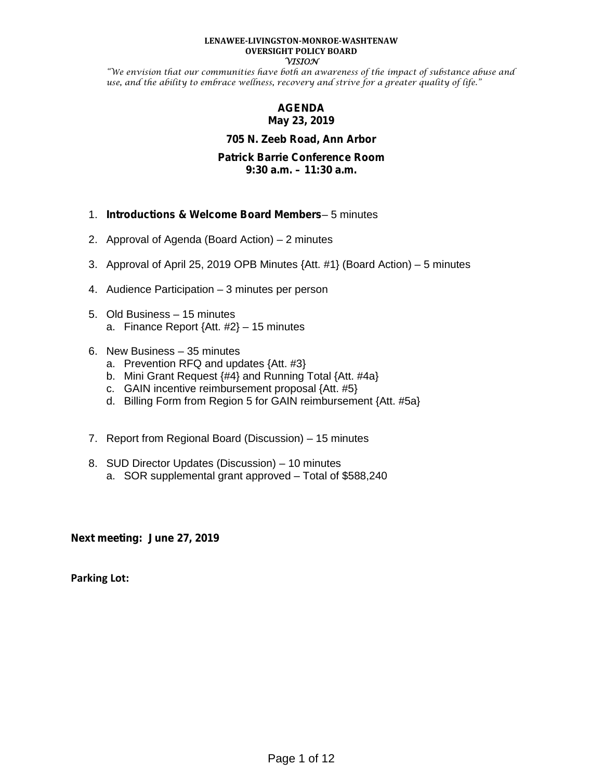#### **LENAWEE-LIVINGSTON-MONROE-WASHTENAW OVERSIGHT POLICY BOARD VISION**

"We envision that our communities have both an awareness of the impact of substance abuse and use, and the ability to embrace wellness, recovery and strive for a greater quality of life."

#### **AGENDA May 23, 2019**

#### **705 N. Zeeb Road, Ann Arbor**

#### **Patrick Barrie Conference Room 9:30 a.m. – 11:30 a.m.**

- 1. *Introductions & Welcome Board Members* 5 minutes
- 2. Approval of Agenda (Board Action) 2 minutes
- 3. Approval of April 25, 2019 OPB Minutes {Att. #1} (Board Action) 5 minutes
- 4. Audience Participation 3 minutes per person
- 5. Old Business 15 minutes a. Finance Report  $\{Att. #2\} - 15$  minutes
- 6. New Business 35 minutes
	- a. Prevention RFQ and updates {Att. #3}
	- b. Mini Grant Request {#4} and Running Total {Att. #4a}
	- c. GAIN incentive reimbursement proposal {Att. #5}
	- d. Billing Form from Region 5 for GAIN reimbursement {Att. #5a}
- 7. Report from Regional Board (Discussion) 15 minutes
- 8. SUD Director Updates (Discussion) 10 minutes
	- a. SOR supplemental grant approved Total of \$588,240

**Next meeting: June 27, 2019**

**Parking Lot:**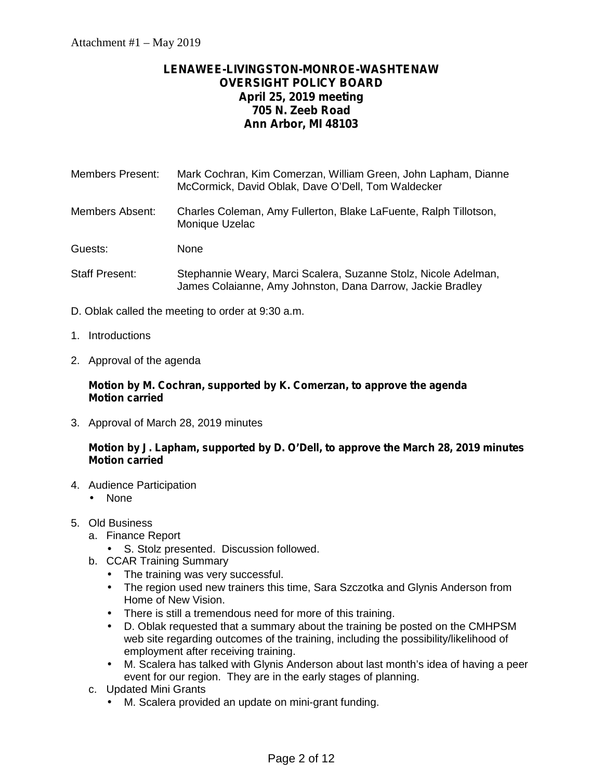#### **LENAWEE-LIVINGSTON-MONROE-WASHTENAW OVERSIGHT POLICY BOARD April 25, 2019 meeting 705 N. Zeeb Road Ann Arbor, MI 48103**

Members Present: Mark Cochran, Kim Comerzan, William Green, John Lapham, Dianne McCormick, David Oblak, Dave O'Dell, Tom Waldecker

Members Absent: Charles Coleman, Amy Fullerton, Blake LaFuente, Ralph Tillotson, Monique Uzelac

Guests: None

- Staff Present: Stephannie Weary, Marci Scalera, Suzanne Stolz, Nicole Adelman, James Colaianne, Amy Johnston, Dana Darrow, Jackie Bradley
- D. Oblak called the meeting to order at 9:30 a.m.
- 1. Introductions
- 2. Approval of the agenda

#### **Motion by M. Cochran, supported by K. Comerzan, to approve the agenda Motion carried**

3. Approval of March 28, 2019 minutes

#### **Motion by J. Lapham, supported by D. O'Dell, to approve the March 28, 2019 minutes Motion carried**

- 4. Audience Participation
	- None
- 5. Old Business
	- a. Finance Report
		- S. Stolz presented. Discussion followed.
	- b. CCAR Training Summary
		- The training was very successful.
		- $\hat{I}$  The region used new trainers this time, Sara Szczotka and Glynis Anderson from Home of New Vision.
		- There is still a tremendous need for more of this training.
		- D. Oblak requested that a summary about the training be posted on the CMHPSM web site regarding outcomes of the training, including the possibility/likelihood of employment after receiving training.
		- M. Scalera has talked with Glynis Anderson about last month's idea of having a peer event for our region. They are in the early stages of planning.
	- c. Updated Mini Grants
		- M. Scalera provided an update on mini-grant funding.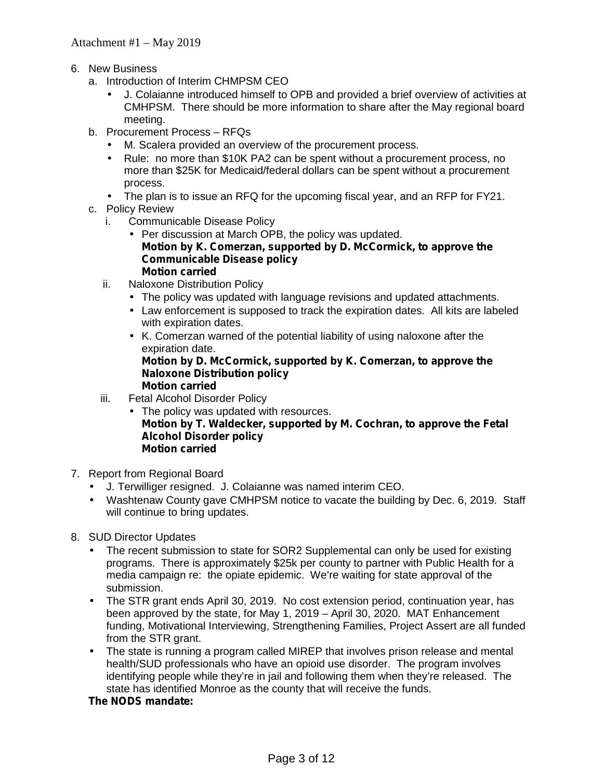- 6. New Business
	- a. Introduction of Interim CHMPSM CEO
		- J. Colaianne introduced himself to OPB and provided a brief overview of activities at CMHPSM. There should be more information to share after the May regional board meeting.
	- b. Procurement Process RFQs
		- M. Scalera provided an overview of the procurement process.
		- Rule: no more than \$10K PA2 can be spent without a procurement process, no more than \$25K for Medicaid/federal dollars can be spent without a procurement process.
		- The plan is to issue an RFQ for the upcoming fiscal year, and an RFP for FY21.
	- c. Policy Review
		- i. Communicable Disease Policy
			- $\int$  Per discussion at March OPB, the policy was updated. **Motion by K. Comerzan, supported by D. McCormick, to approve the Communicable Disease policy Motion carried**
		- ii. Naloxone Distribution Policy
			- The policy was updated with language revisions and updated attachments.
			- Law enforcement is supposed to track the expiration dates. All kits are labeled with expiration dates.
			- K. Comerzan warned of the potential liability of using naloxone after the expiration date. **Motion by D. McCormick, supported by K. Comerzan, to approve the**

#### **Naloxone Distribution policy Motion carried**

- iii. Fetal Alcohol Disorder Policy
	- The policy was updated with resources. **Motion by T. Waldecker, supported by M. Cochran, to approve the Fetal Alcohol Disorder policy Motion carried**
- 7. Report from Regional Board
	- J. Terwilliger resigned. J. Colaianne was named interim CEO.
	- Washtenaw County gave CMHPSM notice to vacate the building by Dec. 6, 2019. Staff will continue to bring updates.
- 8. SUD Director Updates
	- The recent submission to state for SOR2 Supplemental can only be used for existing programs. There is approximately \$25k per county to partner with Public Health for a media campaign re: the opiate epidemic. We're waiting for state approval of the submission.
	- The STR grant ends April 30, 2019. No cost extension period, continuation year, has been approved by the state, for May 1, 2019 – April 30, 2020. MAT Enhancement funding, Motivational Interviewing, Strengthening Families, Project Assert are all funded from the STR grant.
	- The state is running a program called MIREP that involves prison release and mental health/SUD professionals who have an opioid use disorder. The program involves identifying people while they're in jail and following them when they're released. The state has identified Monroe as the county that will receive the funds.

#### **The NODS mandate:**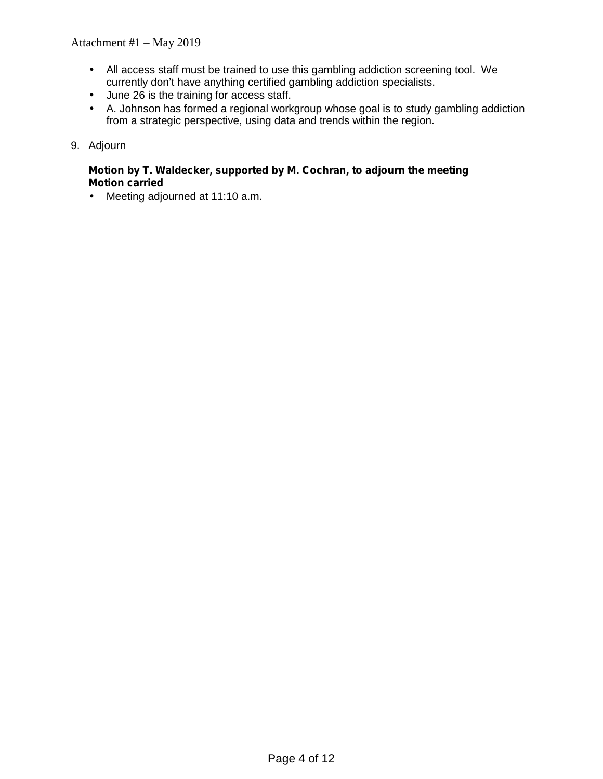- All access staff must be trained to use this gambling addiction screening tool. We currently don't have anything certified gambling addiction specialists.
- ) June 26 is the training for access staff.
- $\hat{A}$ . Johnson has formed a regional workgroup whose goal is to study gambling addiction from a strategic perspective, using data and trends within the region.

#### 9. Adjourn

#### **Motion by T. Waldecker, supported by M. Cochran, to adjourn the meeting Motion carried**

Meeting adjourned at 11:10 a.m.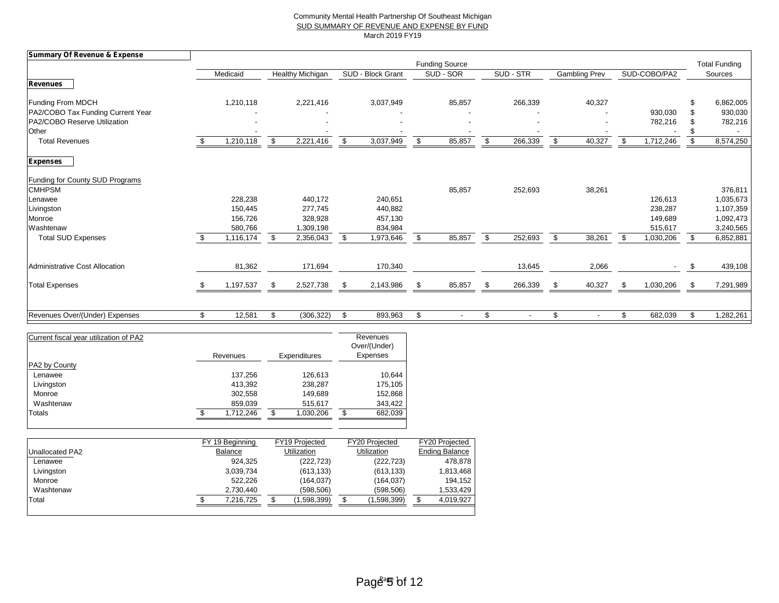#### Community Mental Health Partnership Of Southeast Michigan SUD SUMMARY OF REVENUE AND EXPENSE BY FUND March 2019 FY19

| <b>Summary Of Revenue &amp; Expense</b> |    |           |     |                         |      |                   |                                |     |                |      |                          |    |                          |     |           |
|-----------------------------------------|----|-----------|-----|-------------------------|------|-------------------|--------------------------------|-----|----------------|------|--------------------------|----|--------------------------|-----|-----------|
|                                         |    |           |     |                         |      |                   | <b>Funding Source</b>          |     |                |      | <b>Total Funding</b>     |    |                          |     |           |
|                                         |    | Medicaid  |     | <b>Healthy Michigan</b> |      | SUD - Block Grant | SUD - SOR                      |     | SUD - STR      |      | Gambling Prev            |    | SUD-COBO/PA2             |     | Sources   |
| <b>Revenues</b>                         |    |           |     |                         |      |                   |                                |     |                |      |                          |    |                          |     |           |
| Funding From MDCH                       |    | 1,210,118 |     | 2,221,416               |      | 3,037,949         | 85,857                         |     | 266,339        |      | 40,327                   |    |                          |     | 6,862,005 |
| PA2/COBO Tax Funding Current Year       |    |           |     |                         |      |                   |                                |     |                |      |                          |    | 930,030                  |     | 930,030   |
| PA2/COBO Reserve Utilization            |    |           |     |                         |      |                   |                                |     |                |      |                          |    | 782,216                  |     | 782,216   |
| Other                                   |    |           |     |                         |      |                   |                                |     |                |      |                          |    |                          |     |           |
| <b>Total Revenues</b>                   |    | 1,210,118 | \$  | 2,221,416               | \$   | 3,037,949         | \$<br>85,857                   | \$. | 266,339        | \$   | 40,327                   | \$ | 1,712,246                | \$  | 8,574,250 |
| <b>Expenses</b>                         |    |           |     |                         |      |                   |                                |     |                |      |                          |    |                          |     |           |
| Funding for County SUD Programs         |    |           |     |                         |      |                   |                                |     |                |      |                          |    |                          |     |           |
| <b>CMHPSM</b>                           |    |           |     |                         |      |                   | 85,857                         |     | 252,693        |      | 38,261                   |    |                          |     | 376,811   |
| Lenawee                                 |    | 228,238   |     | 440,172                 |      | 240,651           |                                |     |                |      |                          |    | 126,613                  |     | 1,035,673 |
| Livingston                              |    | 150,445   |     | 277,745                 |      | 440,882           |                                |     |                |      |                          |    | 238,287                  |     | 1,107,359 |
| Monroe                                  |    | 156,726   |     | 328,928                 |      | 457,130           |                                |     |                |      |                          |    | 149,689                  |     | 1,092,473 |
| Washtenaw                               |    | 580,766   |     | 1,309,198               |      | 834,984           |                                |     |                |      |                          |    | 515,617                  |     | 3,240,565 |
| <b>Total SUD Expenses</b>               |    | 1,116,174 | -S  | 2,356,043               | \$   | 1,973,646         | \$<br>85,857                   | \$  | 252,693        | \$   | 38,261                   | \$ | 1,030,206                | \$  | 6,852,881 |
| Administrative Cost Allocation          |    | 81,362    |     | 171,694                 |      | 170,340           |                                |     | 13,645         |      | 2,066                    |    | $\overline{\phantom{a}}$ | \$  | 439,108   |
|                                         |    |           |     |                         |      |                   |                                |     |                |      |                          |    |                          |     |           |
| <b>Total Expenses</b>                   | £. | 1,197,537 | \$  | 2,527,738               | - \$ | 2,143,986         | \$<br>85,857                   |     | 266,339        | - \$ | 40,327                   | \$ | 1,030,206                | \$  | 7,291,989 |
|                                         |    |           |     |                         |      |                   |                                |     |                |      |                          |    |                          |     |           |
| Revenues Over/(Under) Expenses          | \$ | 12,581    | \$. | (306, 322)              | - 55 | 893,963           | \$<br>$\overline{\phantom{a}}$ |     | $\blacksquare$ | \$   | $\overline{\phantom{a}}$ | \$ | 682,039                  | \$. | 1,282,261 |

| Current fiscal year utilization of PA2 | Revenues  | Expenditures     | Revenues<br>Over/(Under)<br>Expenses |
|----------------------------------------|-----------|------------------|--------------------------------------|
| PA2 by County                          |           |                  |                                      |
| Lenawee                                | 137,256   | 126,613          | 10,644                               |
| Livingston                             | 413,392   | 238,287          | 175,105                              |
| Monroe                                 | 302,558   | 149,689          | 152,868                              |
| Washtenaw                              | 859,039   | 515,617          | 343,422                              |
| Totals                                 | 1.712.246 | \$.<br>1,030,206 | 682,039<br>\$.                       |

|                 | FY 19 Beginning | FY19 Projected     | <b>FY20 Projected</b> | FY20 Projected        |
|-----------------|-----------------|--------------------|-----------------------|-----------------------|
| Unallocated PA2 | Balance         | <b>Utilization</b> | Utilization           | <b>Ending Balance</b> |
| Lenawee         | 924.325         | (222, 723)         | (222, 723)            | 478.878               |
| Livingston      | 3,039,734       | (613, 133)         | (613, 133)            | 1,813,468             |
| Monroe          | 522.226         | (164, 037)         | (164, 037)            | 194.152               |
| Washtenaw       | 2.730.440       | (598.506)          | (598.506)             | 1.533.429             |
| Total           | 7.216.725       | (1,598,399)        | (1,598,399)           | 4,019,927             |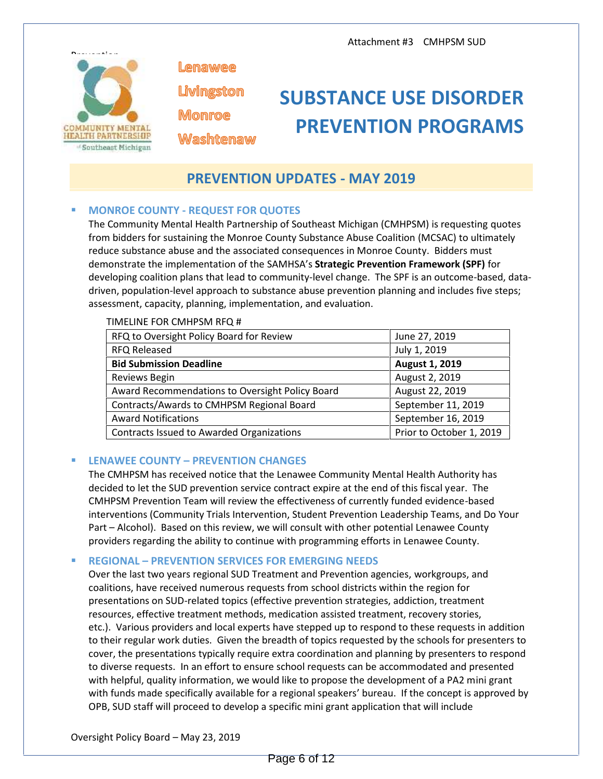

Lenawee

Livingston **Monroe** 

**Washtenaw** 

# **SUBSTANCE USE DISORDER PREVENTION PROGRAMS**

### **PREVENTION UPDATES - MAY 2019**

#### **MONROE COUNTY - REQUEST FOR QUOTES**

The Community Mental Health Partnership of Southeast Michigan (CMHPSM) is requesting quotes from bidders for sustaining the Monroe County Substance Abuse Coalition (MCSAC) to ultimately reduce substance abuse and the associated consequences in Monroe County. Bidders must demonstrate the implementation of the SAMHSA's **Strategic Prevention Framework (SPF)** for developing coalition plans that lead to community-level change. The SPF is an outcome-based, data driven, population-level approach to substance abuse prevention planning and includes five steps; assessment, capacity, planning, implementation, and evaluation.

| RFQ to Oversight Policy Board for Review         | June 27, 2019            |
|--------------------------------------------------|--------------------------|
| <b>RFQ Released</b>                              | July 1, 2019             |
| <b>Bid Submission Deadline</b>                   | August 1, 2019           |
| Reviews Begin                                    | August 2, 2019           |
| Award Recommendations to Oversight Policy Board  | August 22, 2019          |
| Contracts/Awards to CMHPSM Regional Board        | September 11, 2019       |
| <b>Award Notifications</b>                       | September 16, 2019       |
| <b>Contracts Issued to Awarded Organizations</b> | Prior to October 1, 2019 |
|                                                  |                          |

#### TIMELINE FOR CMHPSM RFQ #

#### **LENAWEE COUNTY – PREVENTION CHANGES**

The CMHPSM has received notice that the Lenawee Community Mental Health Authority has decided to let the SUD prevention service contract expire at the end of this fiscal year. The CMHPSM Prevention Team will review the effectiveness of currently funded evidence-based interventions (Community Trials Intervention, Student Prevention Leadership Teams, and Do Your Part – Alcohol). Based on this review, we will consult with other potential Lenawee County providers regarding the ability to continue with programming efforts in Lenawee County.

#### **REGIONAL – PREVENTION SERVICES FOR EMERGING NEEDS**

Over the last two years regional SUD Treatment and Prevention agencies, workgroups, and coalitions, have received numerous requests from school districts within the region for presentations on SUD-related topics (effective prevention strategies, addiction, treatment resources, effective treatment methods, medication assisted treatment, recovery stories, etc.). Various providers and local experts have stepped up to respond to these requests in addition to their regular work duties. Given the breadth of topics requested by the schools for presenters to cover, the presentations typically require extra coordination and planning by presenters to respond to diverse requests. In an effort to ensure school requests can be accommodated and presented with helpful, quality information, we would like to propose the development of a PA2 mini grant with funds made specifically available for a regional speakers' bureau. If the concept is approved by OPB, SUD staff will proceed to develop a specific mini grant application that will include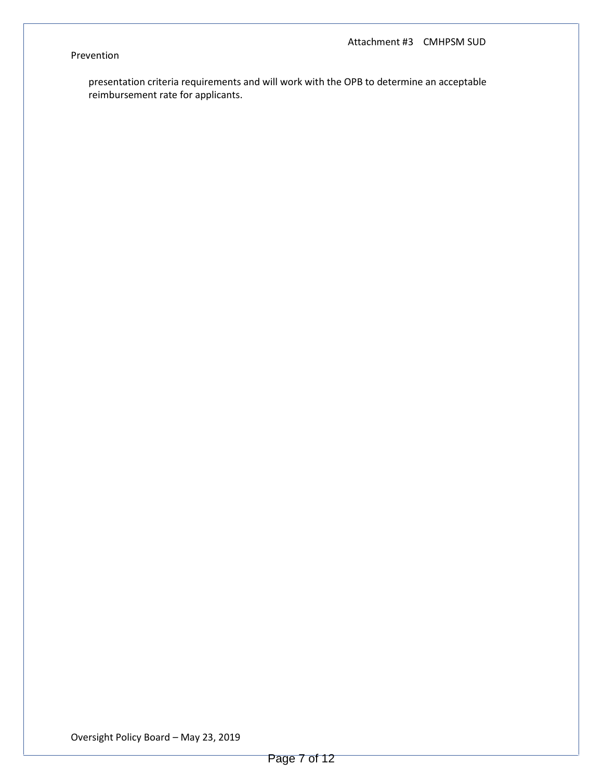#### Prevention

presentation criteria requirements and will work with the OPB to determine an acceptable reimbursement rate for applicants.

Oversight Policy Board – May 23, 2019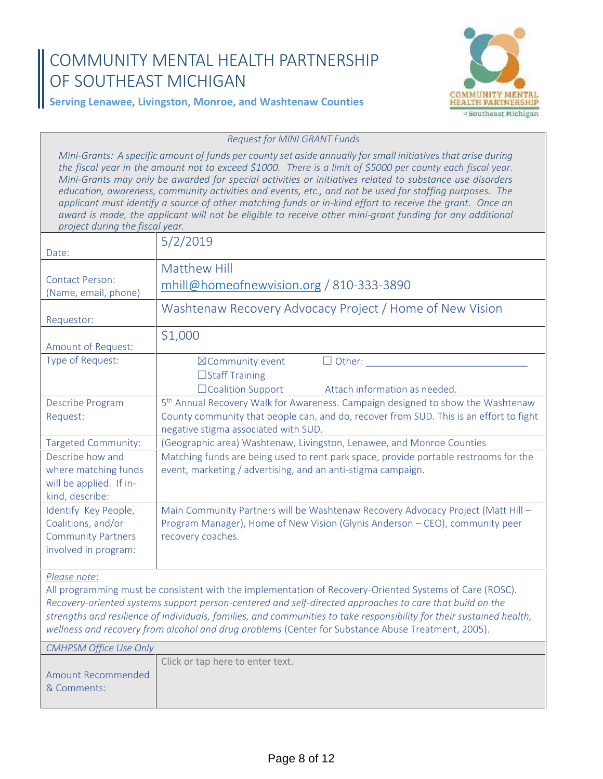# **COMMUNITY MENTAL HEALTH PARTNERSHIP OF SOUTHEAST MICHIGAN**



### **Serving Lenawee, Livingston, Monroe, and Washtenaw Counties**

*Request for MINI GRANT Funds*

*Mini-Grants: A specific amount of funds per county set aside annually for small initiatives that arise during the fiscal year in the amount not to exceed \$1000. There is a limit of \$5000 per county each fiscal year. Mini-Grants may only be awarded for special activities or initiatives related to substance use disorders education, awareness, community activities and events, etc., and not be used for staffing purposes. The applicant must identify a source of other matching funds or in-kind effort to receive the grant. Once an award is made, the applicant will not be eligible to receive other mini-grant funding for any additional project during the fiscal year.*

| Date:                                                                                           | 5/2/2019                                                                                                                                                                                                                                                                                                                                                                                                                                           |
|-------------------------------------------------------------------------------------------------|----------------------------------------------------------------------------------------------------------------------------------------------------------------------------------------------------------------------------------------------------------------------------------------------------------------------------------------------------------------------------------------------------------------------------------------------------|
| <b>Contact Person:</b><br>(Name, email, phone)                                                  | Matthew Hill<br>mhill@homeofnewvision.org / 810-333-3890                                                                                                                                                                                                                                                                                                                                                                                           |
| Requestor:                                                                                      | Washtenaw Recovery Advocacy Project / Home of New Vision                                                                                                                                                                                                                                                                                                                                                                                           |
| <b>Amount of Request:</b>                                                                       | \$1,000                                                                                                                                                                                                                                                                                                                                                                                                                                            |
| Type of Request:                                                                                | $\Box$ Other:<br>⊠Community event<br>$\Box$ Staff Training<br>□Coalition Support<br>Attach information as needed.                                                                                                                                                                                                                                                                                                                                  |
| Describe Program<br>Request:                                                                    | 5 <sup>th</sup> Annual Recovery Walk for Awareness. Campaign designed to show the Washtenaw<br>County community that people can, and do, recover from SUD. This is an effort to fight<br>negative stigma associated with SUD.                                                                                                                                                                                                                      |
| <b>Targeted Community:</b>                                                                      | (Geographic area) Washtenaw, Livingston, Lenawee, and Monroe Counties                                                                                                                                                                                                                                                                                                                                                                              |
| Describe how and<br>where matching funds<br>will be applied. If in-<br>kind, describe:          | Matching funds are being used to rent park space, provide portable restrooms for the<br>event, marketing / advertising, and an anti-stigma campaign.                                                                                                                                                                                                                                                                                               |
| Identify Key People,<br>Coalitions, and/or<br><b>Community Partners</b><br>involved in program: | Main Community Partners will be Washtenaw Recovery Advocacy Project (Matt Hill -<br>Program Manager), Home of New Vision (Glynis Anderson - CEO), community peer<br>recovery coaches.                                                                                                                                                                                                                                                              |
| Please note:                                                                                    | All programming must be consistent with the implementation of Recovery-Oriented Systems of Care (ROSC).<br>Recovery-oriented systems support person-centered and self-directed approaches to care that build on the<br>strengths and resilience of individuals, families, and communities to take responsibility for their sustained health,<br>wellness and recovery from alcohol and drug problems (Center for Substance Abuse Treatment, 2005). |
| <b>CMHPSM Office Use Only</b>                                                                   |                                                                                                                                                                                                                                                                                                                                                                                                                                                    |
| <b>Amount Recommended</b><br>& Comments:                                                        | Click or tap here to enter text.                                                                                                                                                                                                                                                                                                                                                                                                                   |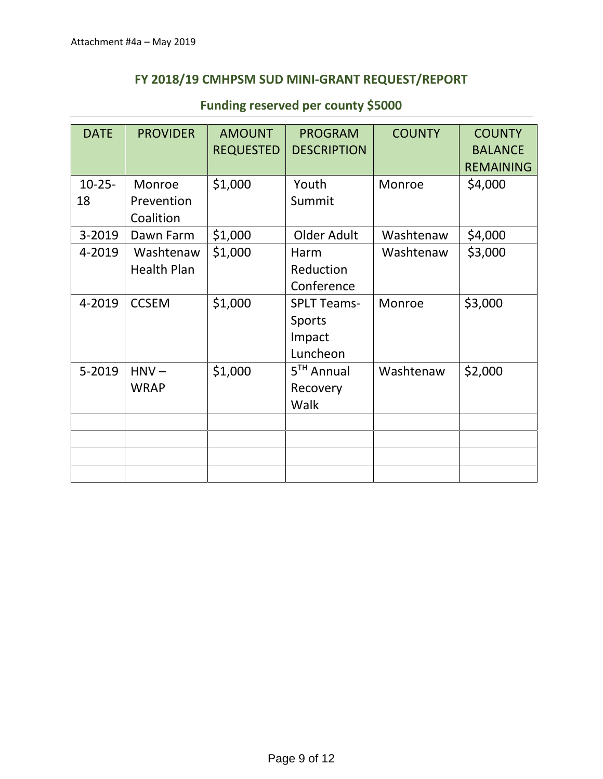### **FY 2018/19 CMHPSM SUD MINI-GRANT REQUEST/REPORT**

| <b>DATE</b>       | <b>PROVIDER</b>                   | <b>AMOUNT</b><br><b>REQUESTED</b> | <b>PROGRAM</b><br><b>DESCRIPTION</b>               | <b>COUNTY</b> | <b>COUNTY</b><br><b>BALANCE</b><br><b>REMAINING</b> |
|-------------------|-----------------------------------|-----------------------------------|----------------------------------------------------|---------------|-----------------------------------------------------|
| $10 - 25 -$<br>18 | Monroe<br>Prevention<br>Coalition | \$1,000                           | Youth<br>Summit                                    | Monroe        | \$4,000                                             |
| 3-2019            | Dawn Farm                         | \$1,000                           | Older Adult                                        | Washtenaw     | \$4,000                                             |
| 4-2019            | Washtenaw<br><b>Health Plan</b>   | \$1,000                           | Harm<br>Reduction<br>Conference                    | Washtenaw     | \$3,000                                             |
| 4-2019            | <b>CCSEM</b>                      | \$1,000                           | <b>SPLT Teams-</b><br>Sports<br>Impact<br>Luncheon | Monroe        | \$3,000                                             |
| 5-2019            | $HNV -$<br><b>WRAP</b>            | \$1,000                           | $5TH$ Annual<br>Recovery<br>Walk                   | Washtenaw     | \$2,000                                             |
|                   |                                   |                                   |                                                    |               |                                                     |
|                   |                                   |                                   |                                                    |               |                                                     |
|                   |                                   |                                   |                                                    |               |                                                     |

## **Funding reserved per county \$5000**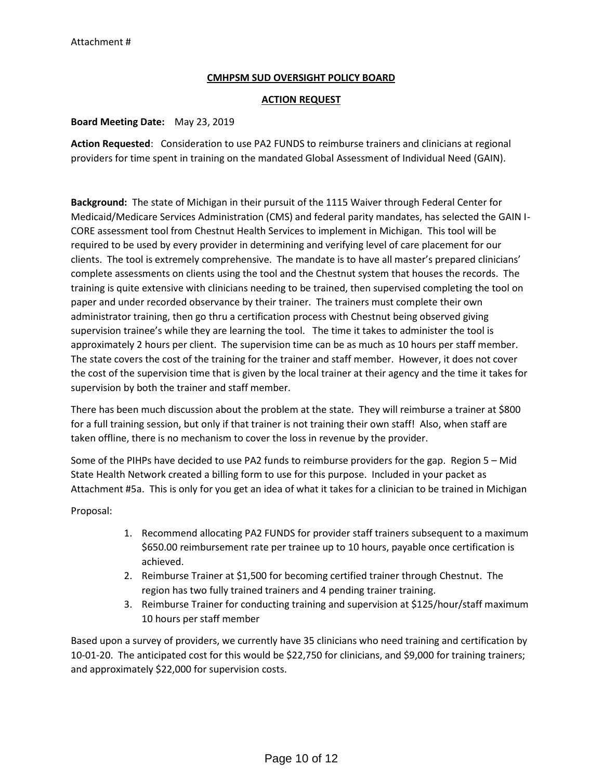#### **CMHPSM SUD OVERSIGHT POLICY BOARD**

#### **ACTION REQUEST**

#### **Board Meeting Date:** May 23, 2019

**Action Requested**: Consideration to use PA2 FUNDS to reimburse trainers and clinicians at regional providers for time spent in training on the mandated Global Assessment of Individual Need (GAIN).

**Background:** The state of Michigan in their pursuit of the 1115 Waiver through Federal Center for Medicaid/Medicare Services Administration (CMS) and federal parity mandates, has selected the GAIN I- CORE assessment tool from Chestnut Health Services to implement in Michigan. This tool will be required to be used by every provider in determining and verifying level of care placement for our clients. The tool is extremely comprehensive. The mandate is to have all master's prepared clinicians' complete assessments on clients using the tool and the Chestnut system that houses the records. The training is quite extensive with clinicians needing to be trained, then supervised completing the tool on paper and under recorded observance by their trainer. The trainers must complete their own administrator training, then go thru a certification process with Chestnut being observed giving supervision trainee's while they are learning the tool. The time it takes to administer the tool is approximately 2 hours per client. The supervision time can be as much as 10 hours per staff member. The state covers the cost of the training for the trainer and staff member. However, it does not cover the cost of the supervision time that is given by the local trainer at their agency and the time it takes for supervision by both the trainer and staff member.

There has been much discussion about the problem at the state. They will reimburse a trainer at \$800 for a full training session, but only if that trainer is not training their own staff! Also, when staff are taken offline, there is no mechanism to cover the loss in revenue by the provider.

Some of the PIHPs have decided to use PA2 funds to reimburse providers for the gap. Region 5 – Mid State Health Network created a billing form to use for this purpose. Included in your packet as Attachment #5a. This is only for you get an idea of what it takes for a clinician to be trained in Michigan

Proposal:

- 1. Recommend allocating PA2 FUNDS for provider staff trainers subsequent to a maximum \$650.00 reimbursement rate per trainee up to 10 hours, payable once certification is achieved.
- 2. Reimburse Trainer at \$1,500 for becoming certified trainer through Chestnut. The region has two fully trained trainers and 4 pending trainer training.
- 3. Reimburse Trainer for conducting training and supervision at \$125/hour/staff maximum 10 hours per staff member

Based upon a survey of providers, we currently have 35 clinicians who need training and certification by 10-01-20. The anticipated cost for this would be \$22,750 for clinicians, and \$9,000 for training trainers; and approximately \$22,000 for supervision costs.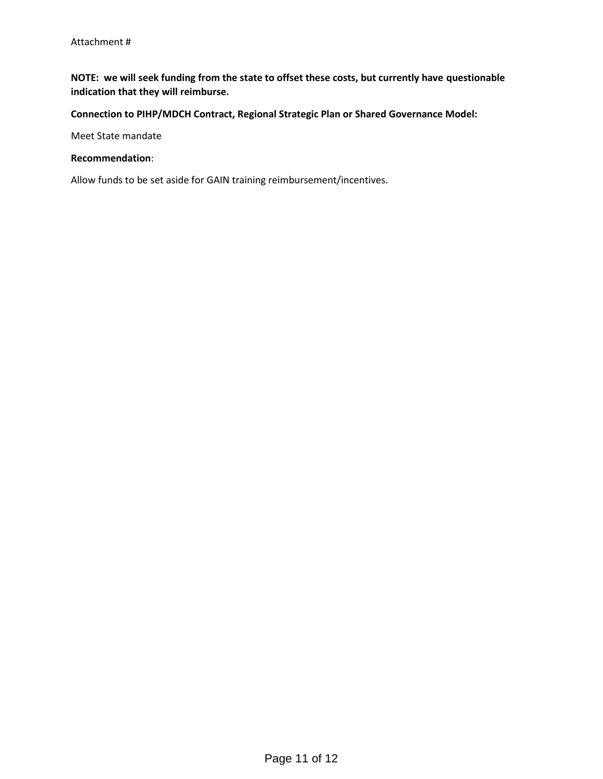**NOTE: we will seek funding from the state to offset these costs, but currently have questionable indication that they will reimburse.**

**Connection to PIHP/MDCH Contract, Regional Strategic Plan or Shared Governance Model:**

Meet State mandate

**Recommendation**:

Allow funds to be set aside for GAIN training reimbursement/incentives.